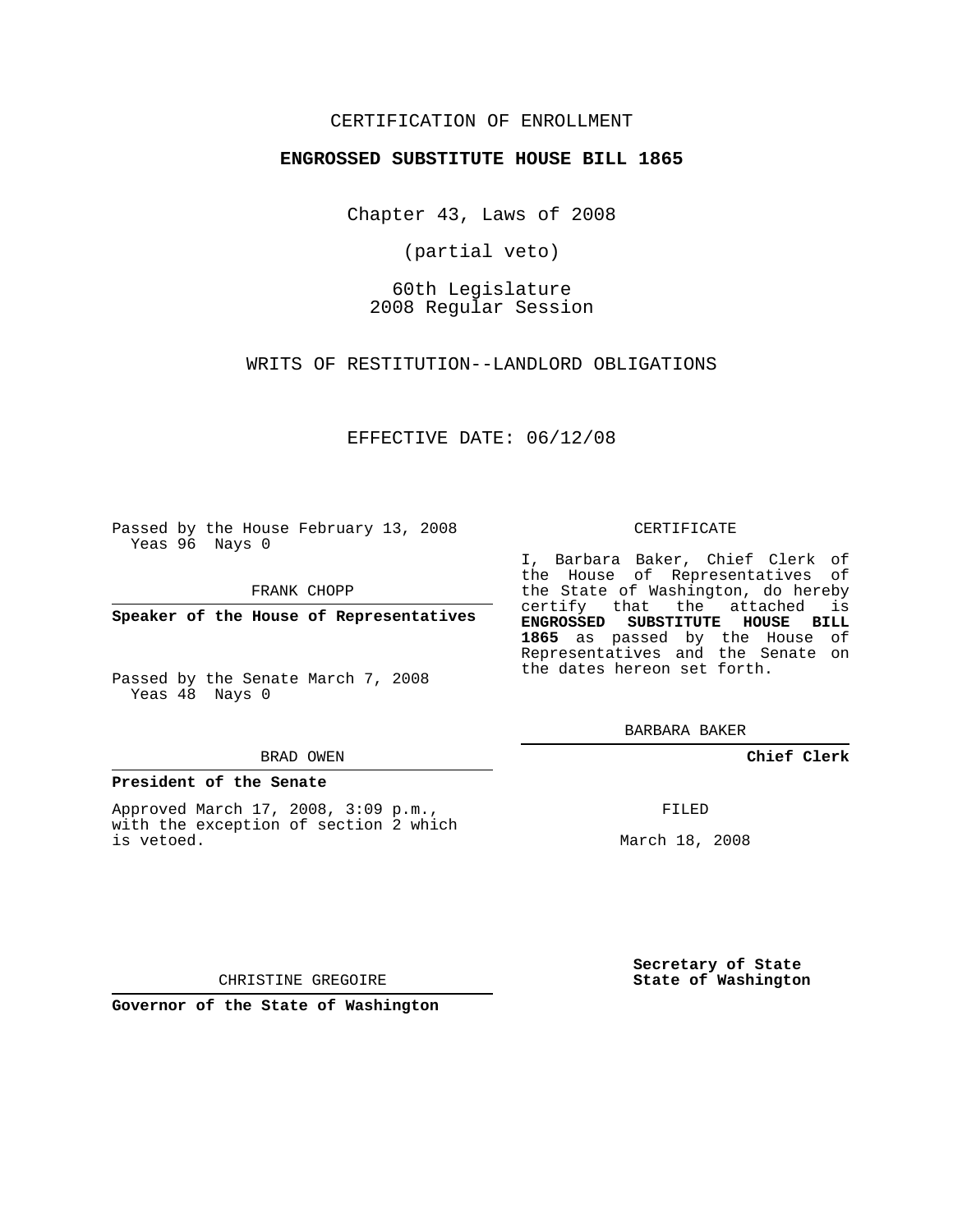## CERTIFICATION OF ENROLLMENT

### **ENGROSSED SUBSTITUTE HOUSE BILL 1865**

Chapter 43, Laws of 2008

(partial veto)

60th Legislature 2008 Regular Session

WRITS OF RESTITUTION--LANDLORD OBLIGATIONS

EFFECTIVE DATE: 06/12/08

Passed by the House February 13, 2008 Yeas 96 Nays 0

FRANK CHOPP

**Speaker of the House of Representatives**

Passed by the Senate March 7, 2008 Yeas 48 Nays 0

#### BRAD OWEN

#### **President of the Senate**

Approved March 17, 2008, 3:09 p.m., with the exception of section 2 which is vetoed.

#### CERTIFICATE

I, Barbara Baker, Chief Clerk of the House of Representatives of the State of Washington, do hereby certify that the attached is **ENGROSSED SUBSTITUTE HOUSE BILL 1865** as passed by the House of Representatives and the Senate on the dates hereon set forth.

BARBARA BAKER

**Chief Clerk**

FILED

March 18, 2008

**Secretary of State State of Washington**

CHRISTINE GREGOIRE

**Governor of the State of Washington**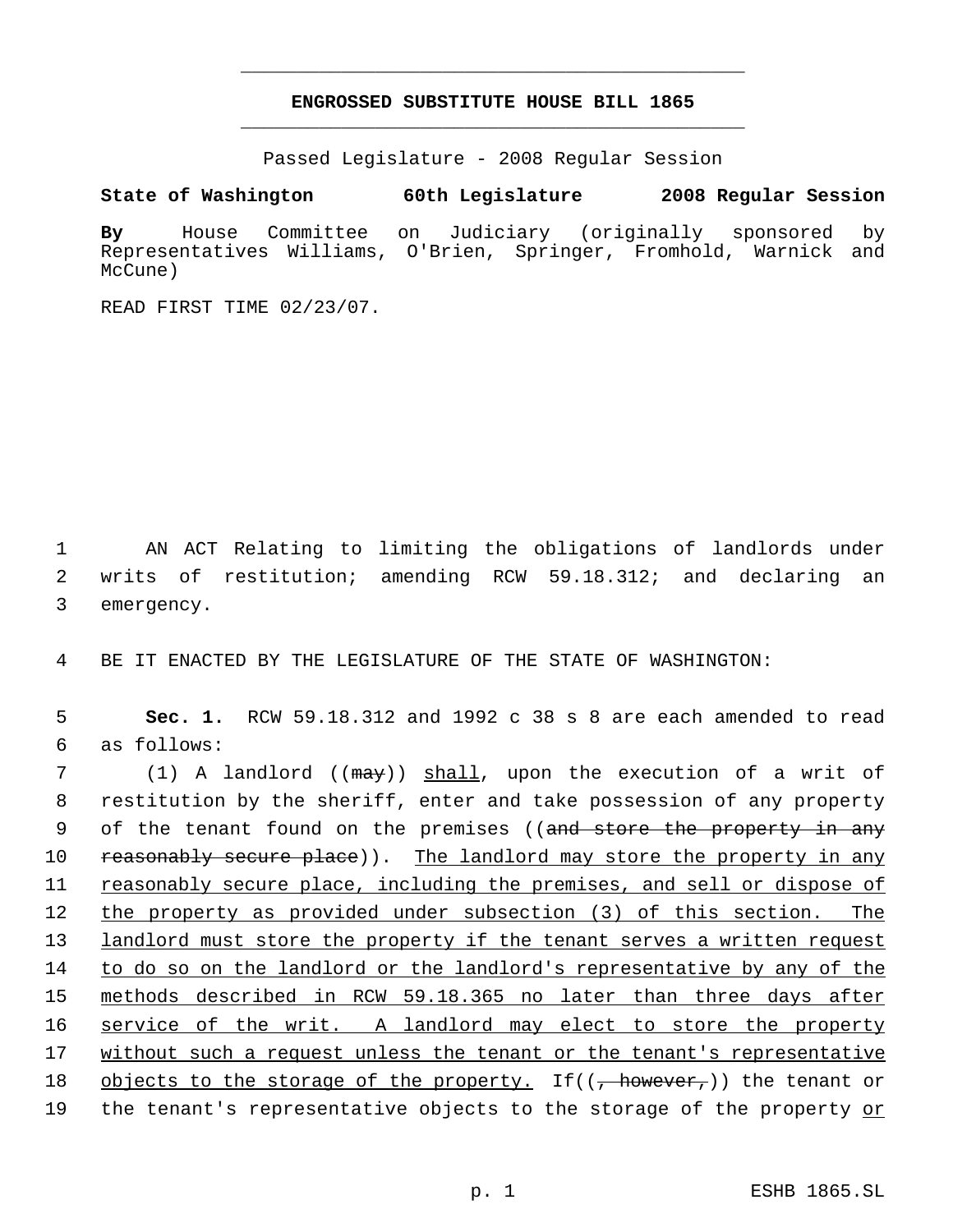# **ENGROSSED SUBSTITUTE HOUSE BILL 1865** \_\_\_\_\_\_\_\_\_\_\_\_\_\_\_\_\_\_\_\_\_\_\_\_\_\_\_\_\_\_\_\_\_\_\_\_\_\_\_\_\_\_\_\_\_

\_\_\_\_\_\_\_\_\_\_\_\_\_\_\_\_\_\_\_\_\_\_\_\_\_\_\_\_\_\_\_\_\_\_\_\_\_\_\_\_\_\_\_\_\_

Passed Legislature - 2008 Regular Session

**State of Washington 60th Legislature 2008 Regular Session**

**By** House Committee on Judiciary (originally sponsored by Representatives Williams, O'Brien, Springer, Fromhold, Warnick and McCune)

READ FIRST TIME 02/23/07.

 1 AN ACT Relating to limiting the obligations of landlords under 2 writs of restitution; amending RCW 59.18.312; and declaring an 3 emergency.

4 BE IT ENACTED BY THE LEGISLATURE OF THE STATE OF WASHINGTON:

 5 **Sec. 1.** RCW 59.18.312 and 1992 c 38 s 8 are each amended to read 6 as follows:

7 (1) A landlord ((may)) shall, upon the execution of a writ of 8 restitution by the sheriff, enter and take possession of any property 9 of the tenant found on the premises ((<del>and store the property in any</del> 10 reasonably secure place)). The landlord may store the property in any 11 reasonably secure place, including the premises, and sell or dispose of 12 the property as provided under subsection (3) of this section. The 13 landlord must store the property if the tenant serves a written request 14 to do so on the landlord or the landlord's representative by any of the 15 methods described in RCW 59.18.365 no later than three days after 16 service of the writ. A landlord may elect to store the property 17 without such a request unless the tenant or the tenant's representative 18 objects to the storage of the property. If( $(\frac{1}{100})$  the tenant or 19 the tenant's representative objects to the storage of the property <u>or</u>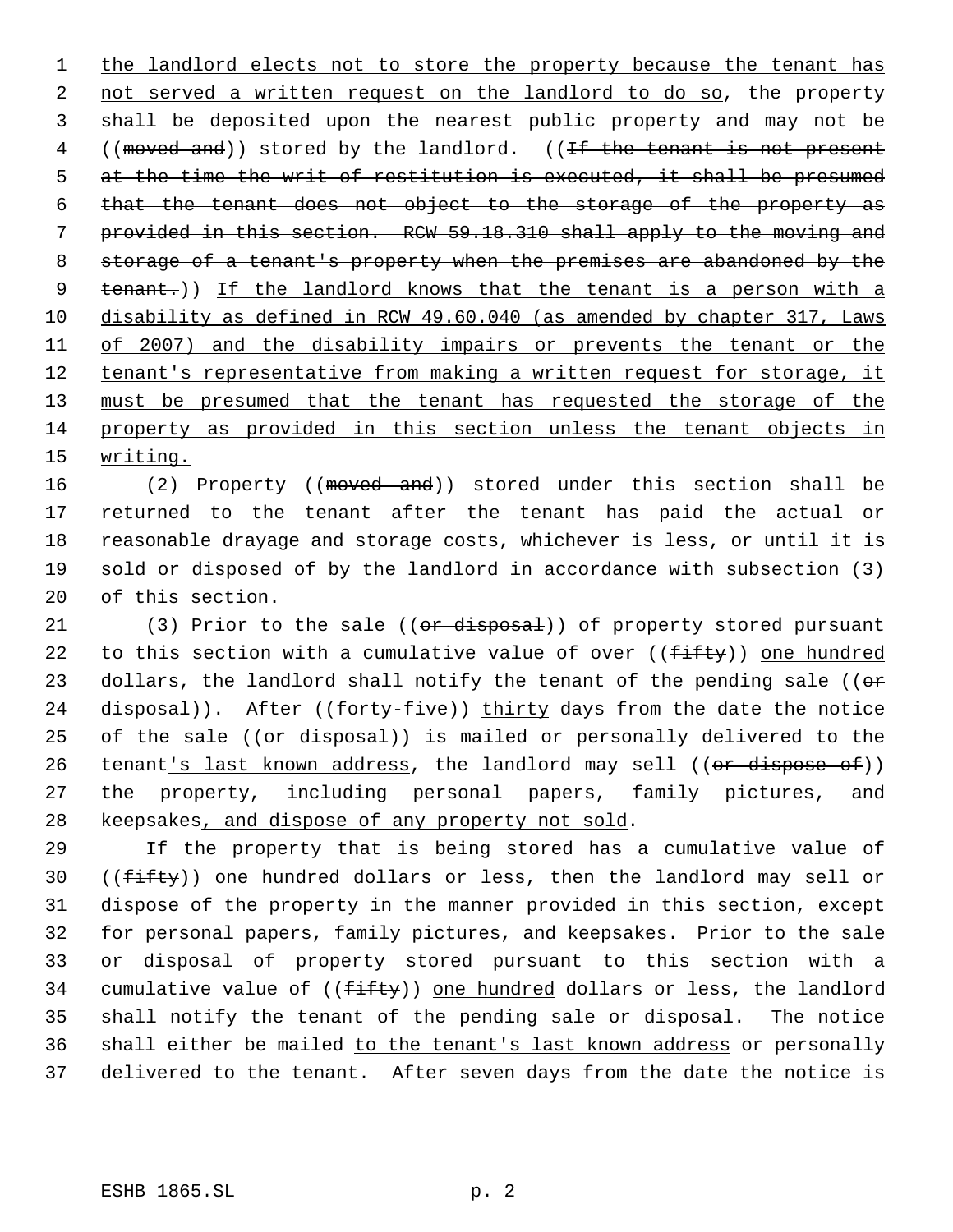1 the landlord elects not to store the property because the tenant has 2 not served a written request on the landlord to do so, the property 3 shall be deposited upon the nearest public property and may not be 4 ((moved and)) stored by the landlord. ((If the tenant is not present 5 at the time the writ of restitution is executed, it shall be presumed 6 that the tenant does not object to the storage of the property as 7 provided in this section. RCW 59.18.310 shall apply to the moving and 8 storage of a tenant's property when the premises are abandoned by the 9 tenant.)) If the landlord knows that the tenant is a person with a 10 disability as defined in RCW 49.60.040 (as amended by chapter 317, Laws 11 of 2007) and the disability impairs or prevents the tenant or the 12 tenant's representative from making a written request for storage, it 13 must be presumed that the tenant has requested the storage of the 14 property as provided in this section unless the tenant objects in 15 writing.

16 (2) Property ((moved and)) stored under this section shall be returned to the tenant after the tenant has paid the actual or reasonable drayage and storage costs, whichever is less, or until it is sold or disposed of by the landlord in accordance with subsection (3) of this section.

21 (3) Prior to the sale  $((or$  disposal)) of property stored pursuant 22 to this section with a cumulative value of over  $((f\text{iff}y))$  one hundred 23 dollars, the landlord shall notify the tenant of the pending sale (( $\sigma$ r 24 disposal)). After ((forty-five)) thirty days from the date the notice 25 of the sale ((or disposal)) is mailed or personally delivered to the 26 tenant's last known address, the landlord may sell ((or dispose of)) 27 the property, including personal papers, family pictures, and 28 keepsakes, and dispose of any property not sold.

 If the property that is being stored has a cumulative value of 30 ((fifty)) one hundred dollars or less, then the landlord may sell or dispose of the property in the manner provided in this section, except for personal papers, family pictures, and keepsakes. Prior to the sale or disposal of property stored pursuant to this section with a 34 cumulative value of  $((f\text{-}ff\text{-}ty))$  one hundred dollars or less, the landlord shall notify the tenant of the pending sale or disposal. The notice shall either be mailed to the tenant's last known address or personally delivered to the tenant. After seven days from the date the notice is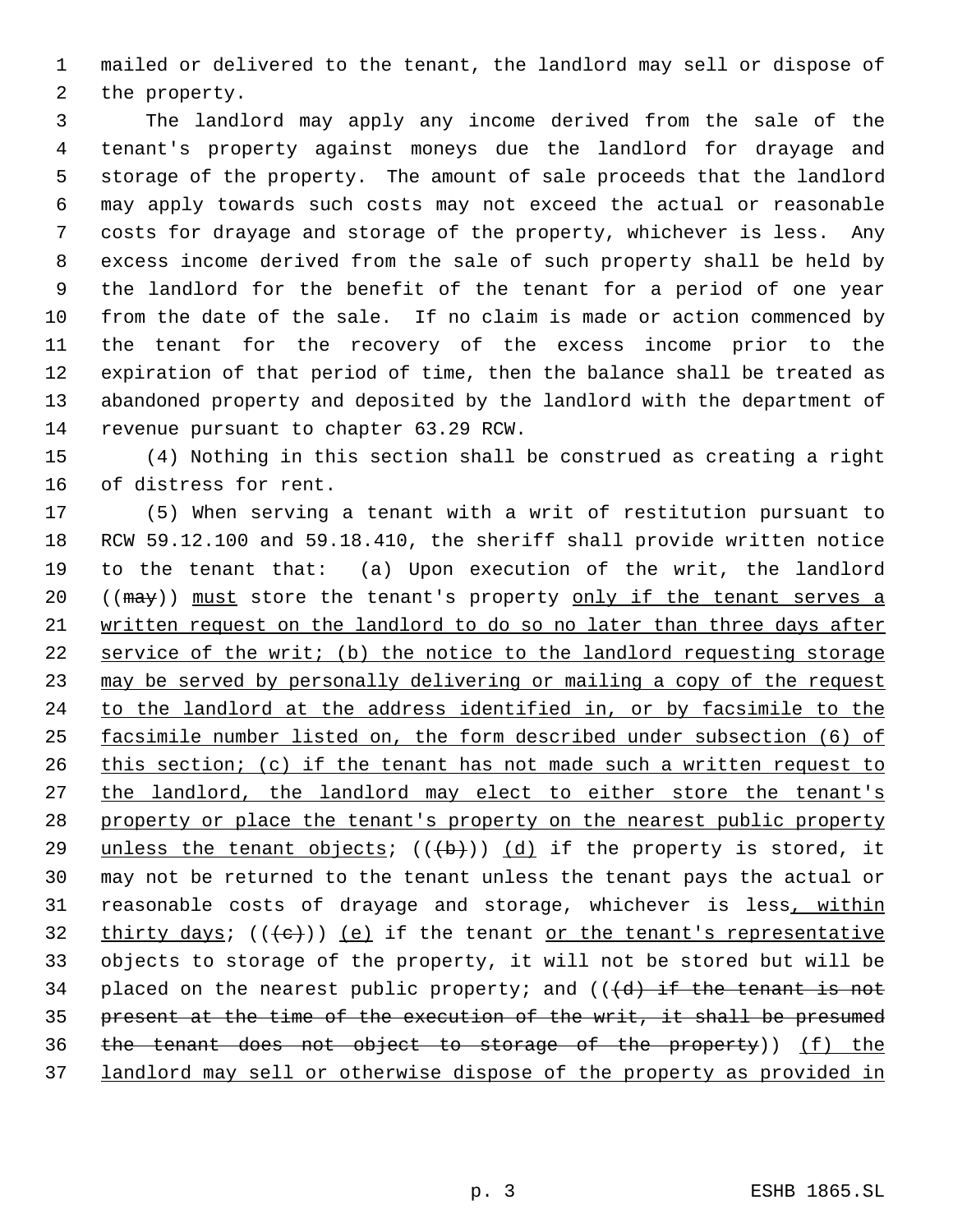mailed or delivered to the tenant, the landlord may sell or dispose of the property.

 The landlord may apply any income derived from the sale of the tenant's property against moneys due the landlord for drayage and storage of the property. The amount of sale proceeds that the landlord may apply towards such costs may not exceed the actual or reasonable costs for drayage and storage of the property, whichever is less. Any excess income derived from the sale of such property shall be held by the landlord for the benefit of the tenant for a period of one year from the date of the sale. If no claim is made or action commenced by the tenant for the recovery of the excess income prior to the expiration of that period of time, then the balance shall be treated as abandoned property and deposited by the landlord with the department of revenue pursuant to chapter 63.29 RCW.

 (4) Nothing in this section shall be construed as creating a right of distress for rent.

 (5) When serving a tenant with a writ of restitution pursuant to RCW 59.12.100 and 59.18.410, the sheriff shall provide written notice to the tenant that: (a) Upon execution of the writ, the landlord 20 ((may)) must store the tenant's property only if the tenant serves a written request on the landlord to do so no later than three days after service of the writ; (b) the notice to the landlord requesting storage 23 may be served by personally delivering or mailing a copy of the request 24 to the landlord at the address identified in, or by facsimile to the facsimile number listed on, the form described under subsection (6) of 26 this section; (c) if the tenant has not made such a written request to 27 the landlord, the landlord may elect to either store the tenant's property or place the tenant's property on the nearest public property 29 unless the tenant objects;  $((+b))$  (d) if the property is stored, it may not be returned to the tenant unless the tenant pays the actual or 31 reasonable costs of drayage and storage, whichever is less, within 32 thirty days;  $((e))$  (e) if the tenant or the tenant's representative objects to storage of the property, it will not be stored but will be 34 placed on the nearest public property; and  $((d + d)$  if the tenant is not present at the time of the execution of the writ, it shall be presumed the tenant does not object to storage of the property)) (f) the landlord may sell or otherwise dispose of the property as provided in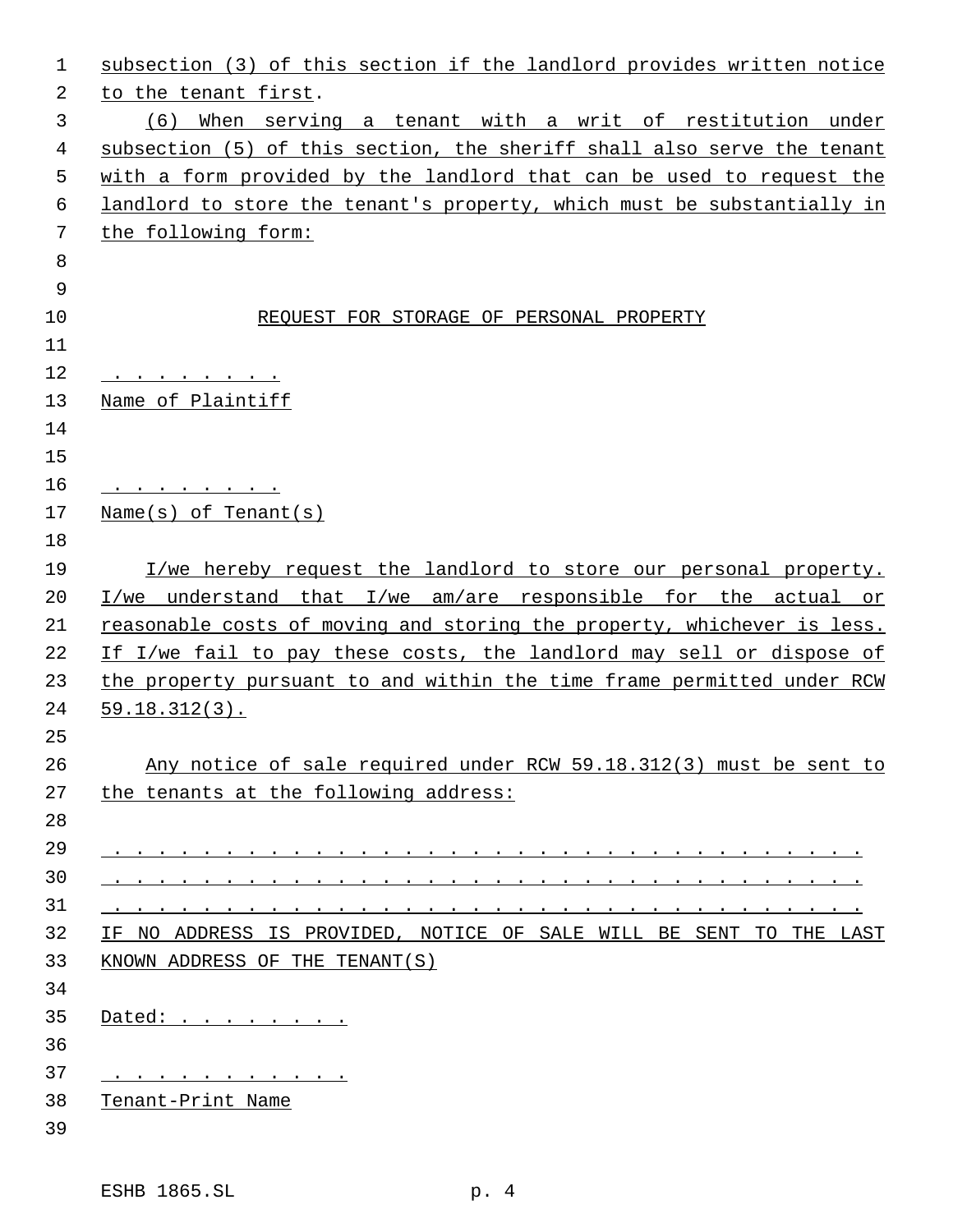| 1  | subsection (3) of this section if the landlord provides written notice                                                                                                                                                               |
|----|--------------------------------------------------------------------------------------------------------------------------------------------------------------------------------------------------------------------------------------|
| 2  | to the tenant first.                                                                                                                                                                                                                 |
| 3  | (6) When serving a tenant with a writ of restitution under                                                                                                                                                                           |
| 4  | subsection (5) of this section, the sheriff shall also serve the tenant                                                                                                                                                              |
| 5  | with a form provided by the landlord that can be used to request the                                                                                                                                                                 |
| 6  | landlord to store the tenant's property, which must be substantially in                                                                                                                                                              |
| 7  | the following form:                                                                                                                                                                                                                  |
| 8  |                                                                                                                                                                                                                                      |
| 9  |                                                                                                                                                                                                                                      |
| 10 | REQUEST FOR STORAGE OF PERSONAL PROPERTY                                                                                                                                                                                             |
| 11 |                                                                                                                                                                                                                                      |
| 12 |                                                                                                                                                                                                                                      |
| 13 | Name of Plaintiff                                                                                                                                                                                                                    |
| 14 |                                                                                                                                                                                                                                      |
| 15 |                                                                                                                                                                                                                                      |
| 16 |                                                                                                                                                                                                                                      |
| 17 | $Name(s)$ of Tenant(s)                                                                                                                                                                                                               |
| 18 |                                                                                                                                                                                                                                      |
| 19 | I/we hereby request the landlord to store our personal property.                                                                                                                                                                     |
| 20 | I/we understand that I/we am/are responsible for the actual or                                                                                                                                                                       |
| 21 | reasonable costs of moving and storing the property, whichever is less.                                                                                                                                                              |
| 22 | If I/we fail to pay these costs, the landlord may sell or dispose of                                                                                                                                                                 |
| 23 | the property pursuant to and within the time frame permitted under RCW                                                                                                                                                               |
| 24 | $59.18.312(3)$ .                                                                                                                                                                                                                     |
| 25 |                                                                                                                                                                                                                                      |
| 26 | Any notice of sale required under RCW 59.18.312(3) must be sent to                                                                                                                                                                   |
| 27 | the tenants at the following address:                                                                                                                                                                                                |
| 28 |                                                                                                                                                                                                                                      |
| 29 |                                                                                                                                                                                                                                      |
| 30 | <u>. A construction of the construction of the construction of the construction of the construction of the construction of the construction of the construction of the construction of the construction of the construction of t</u> |
| 31 | $\mathbf{r}$ , and a set of the set of the set of the set of the set of the set of the set of the set of the set of the set of the set of the set of the set of the set of the set of the set of the set of the set of the set of    |
| 32 | IF NO ADDRESS IS PROVIDED, NOTICE OF SALE WILL BE SENT TO THE LAST                                                                                                                                                                   |
| 33 | KNOWN ADDRESS OF THE TENANT(S)                                                                                                                                                                                                       |
| 34 |                                                                                                                                                                                                                                      |
| 35 | Dated:                                                                                                                                                                                                                               |
| 36 |                                                                                                                                                                                                                                      |
| 37 | <u>.</u>                                                                                                                                                                                                                             |
| 38 | Tenant-Print Name                                                                                                                                                                                                                    |
| 39 |                                                                                                                                                                                                                                      |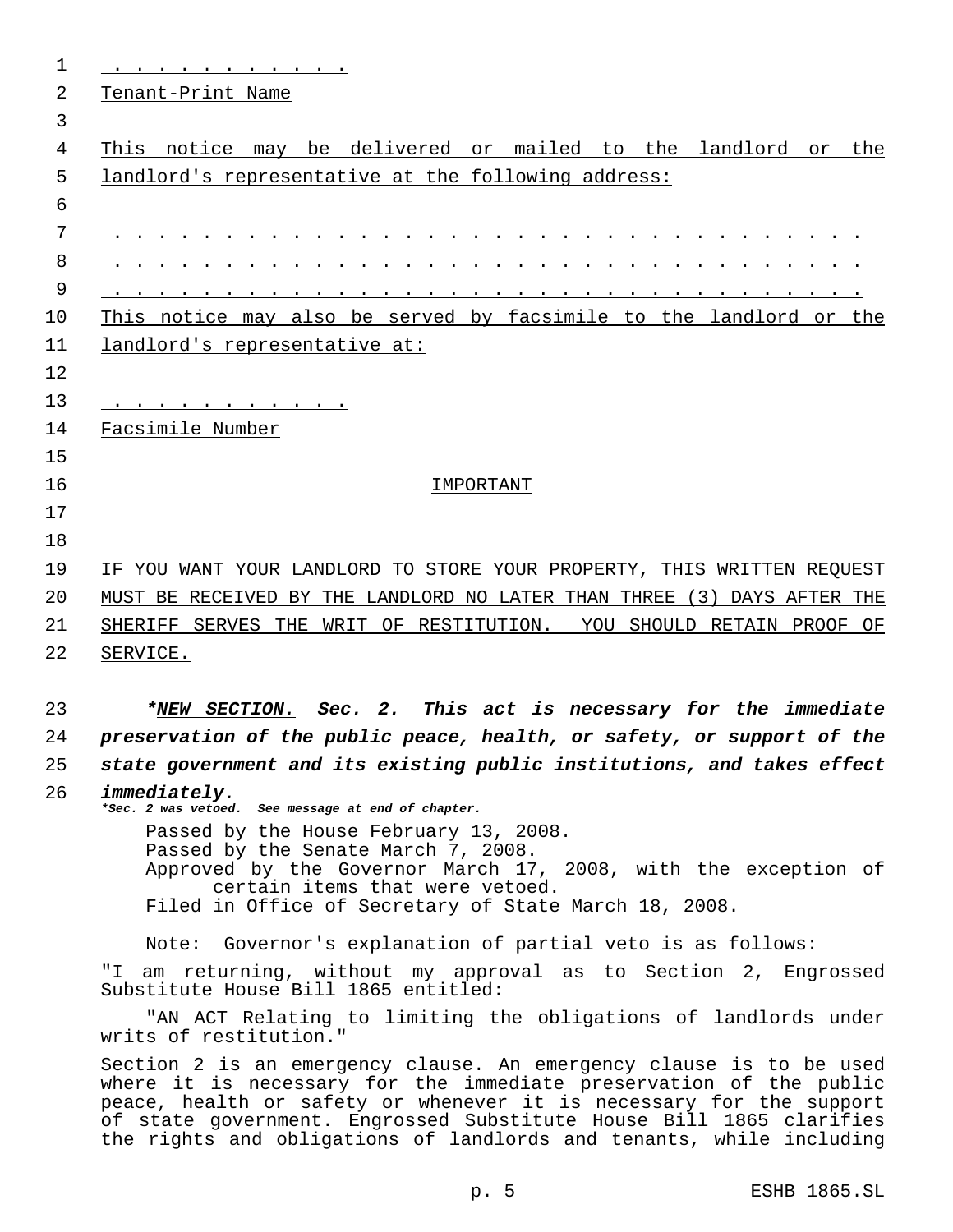|              | <u>Tenant-Print Name</u>                                                                                                                                                                                                                                                                                                                                        |  |  |
|--------------|-----------------------------------------------------------------------------------------------------------------------------------------------------------------------------------------------------------------------------------------------------------------------------------------------------------------------------------------------------------------|--|--|
|              |                                                                                                                                                                                                                                                                                                                                                                 |  |  |
|              | This notice may be delivered or mailed to the landlord or the                                                                                                                                                                                                                                                                                                   |  |  |
|              | landlord's representative at the following address:                                                                                                                                                                                                                                                                                                             |  |  |
|              |                                                                                                                                                                                                                                                                                                                                                                 |  |  |
|              |                                                                                                                                                                                                                                                                                                                                                                 |  |  |
|              |                                                                                                                                                                                                                                                                                                                                                                 |  |  |
|              |                                                                                                                                                                                                                                                                                                                                                                 |  |  |
|              | This notice may also be served by facsimile to the landlord or the                                                                                                                                                                                                                                                                                              |  |  |
|              | landlord's representative at:                                                                                                                                                                                                                                                                                                                                   |  |  |
|              |                                                                                                                                                                                                                                                                                                                                                                 |  |  |
|              |                                                                                                                                                                                                                                                                                                                                                                 |  |  |
|              | Facsimile Number                                                                                                                                                                                                                                                                                                                                                |  |  |
|              |                                                                                                                                                                                                                                                                                                                                                                 |  |  |
|              | IMPORTANT                                                                                                                                                                                                                                                                                                                                                       |  |  |
|              |                                                                                                                                                                                                                                                                                                                                                                 |  |  |
|              |                                                                                                                                                                                                                                                                                                                                                                 |  |  |
|              | IF YOU WANT YOUR LANDLORD TO STORE YOUR PROPERTY, THIS WRITTEN REQUEST                                                                                                                                                                                                                                                                                          |  |  |
|              | MUST BE RECEIVED BY THE LANDLORD NO LATER THAN THREE (3) DAYS AFTER THE                                                                                                                                                                                                                                                                                         |  |  |
|              | SHERIFF SERVES THE WRIT OF RESTITUTION. YOU SHOULD RETAIN PROOF OF                                                                                                                                                                                                                                                                                              |  |  |
| SERVICE.     |                                                                                                                                                                                                                                                                                                                                                                 |  |  |
|              |                                                                                                                                                                                                                                                                                                                                                                 |  |  |
|              | *NEW SECTION. Sec. 2. This act is necessary for the immediate                                                                                                                                                                                                                                                                                                   |  |  |
|              | preservation of the public peace, health, or safety, or support of the                                                                                                                                                                                                                                                                                          |  |  |
|              | state government and its existing public institutions, and takes effect                                                                                                                                                                                                                                                                                         |  |  |
| immediately. | *Sec. 2 was vetoed. See message at end of chapter.                                                                                                                                                                                                                                                                                                              |  |  |
|              | Passed by the House February 13, 2008.                                                                                                                                                                                                                                                                                                                          |  |  |
|              | Passed by the Senate March 7, 2008.<br>Approved by the Governor March 17, 2008, with the exception of                                                                                                                                                                                                                                                           |  |  |
|              | certain items that were vetoed.                                                                                                                                                                                                                                                                                                                                 |  |  |
|              | Filed in Office of Secretary of State March 18, 2008.                                                                                                                                                                                                                                                                                                           |  |  |
|              | Note: Governor's explanation of partial veto is as follows:                                                                                                                                                                                                                                                                                                     |  |  |
| " I          | am returning, without my approval as to Section 2, Engrossed<br>Substitute House Bill 1865 entitled:                                                                                                                                                                                                                                                            |  |  |
|              | "AN ACT Relating to limiting the obligations of landlords under<br>writs of restitution."                                                                                                                                                                                                                                                                       |  |  |
|              | Section 2 is an emergency clause. An emergency clause is to be used<br>where it is necessary for the immediate preservation of the public<br>peace, health or safety or whenever it is necessary for the support<br>of state government. Engrossed Substitute House Bill 1865 clarifies<br>the rights and obligations of landlords and tenants, while including |  |  |